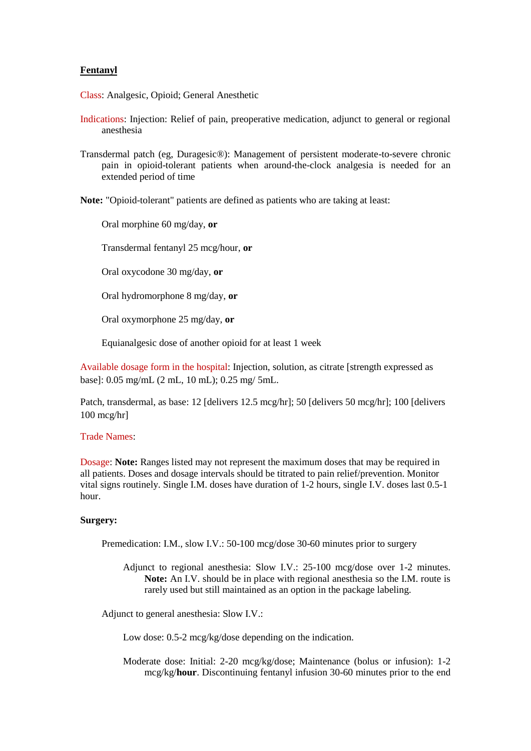## **Fentanyl**

Class: Analgesic, Opioid; General Anesthetic

- Indications: Injection: Relief of pain, preoperative medication, adjunct to general or regional anesthesia
- Transdermal patch (eg, Duragesic®): Management of persistent moderate-to-severe chronic pain in opioid-tolerant patients when around-the-clock analgesia is needed for an extended period of time

**Note:** "Opioid-tolerant" patients are defined as patients who are taking at least:

Oral morphine 60 mg/day, **or**

Transdermal fentanyl 25 mcg/hour, **or**

Oral oxycodone 30 mg/day, **or**

Oral hydromorphone 8 mg/day, **or**

Oral oxymorphone 25 mg/day, **or**

Equianalgesic dose of another opioid for at least 1 week

Available dosage form in the hospital: Injection, solution, as citrate [strength expressed as base]: 0.05 mg/mL (2 mL, 10 mL); 0.25 mg/ 5mL.

Patch, transdermal, as base: 12 [delivers 12.5 mcg/hr]; 50 [delivers 50 mcg/hr]; 100 [delivers 100 mcg/hr]

### Trade Names:

Dosage: **Note:** Ranges listed may not represent the maximum doses that may be required in all patients. Doses and dosage intervals should be titrated to pain relief/prevention. Monitor vital signs routinely. Single I.M. doses have duration of 1-2 hours, single I.V. doses last 0.5-1 hour.

#### **Surgery:**

Premedication: I.M., slow I.V.: 50-100 mcg/dose 30-60 minutes prior to surgery

Adjunct to regional anesthesia: Slow I.V.: 25-100 mcg/dose over 1-2 minutes. **Note:** An I.V. should be in place with regional anesthesia so the I.M. route is rarely used but still maintained as an option in the package labeling.

Adjunct to general anesthesia: Slow I.V.:

Low dose: 0.5-2 mcg/kg/dose depending on the indication.

Moderate dose: Initial: 2-20 mcg/kg/dose; Maintenance (bolus or infusion): 1-2 mcg/kg/**hour**. Discontinuing fentanyl infusion 30-60 minutes prior to the end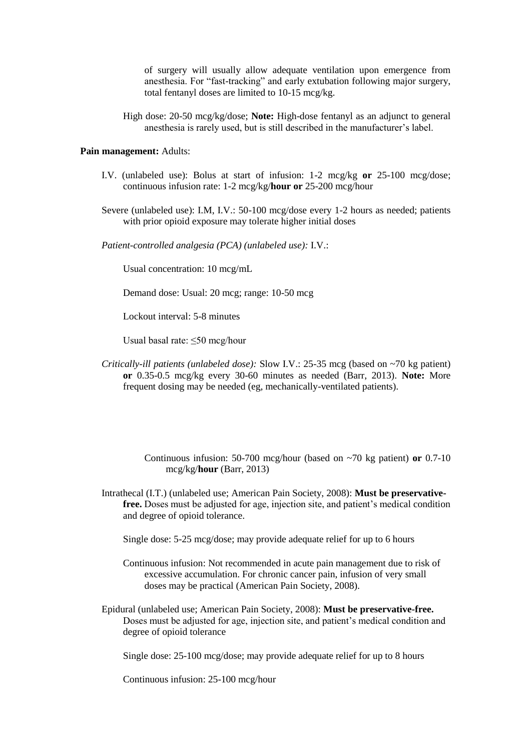of surgery will usually allow adequate ventilation upon emergence from anesthesia. For "fast-tracking" and early extubation following major surgery, total fentanyl doses are limited to 10-15 mcg/kg.

High dose: 20-50 mcg/kg/dose; **Note:** High-dose fentanyl as an adjunct to general anesthesia is rarely used, but is still described in the manufacturer's label.

### **Pain management:** Adults:

- I.V. (unlabeled use): Bolus at start of infusion: 1-2 mcg/kg **or** 25-100 mcg/dose; continuous infusion rate: 1-2 mcg/kg/**hour or** 25-200 mcg/hour
- Severe (unlabeled use): I.M, I.V.: 50-100 mcg/dose every 1-2 hours as needed; patients with prior opioid exposure may tolerate higher initial doses

*Patient-controlled analgesia (PCA) (unlabeled use):* I.V.:

Usual concentration: 10 mcg/mL

Demand dose: Usual: 20 mcg; range: 10-50 mcg

Lockout interval: 5-8 minutes

Usual basal rate: ≤50 mcg/hour

*Critically-ill patients (unlabeled dose):* Slow I.V.: 25-35 mcg (based on ~70 kg patient) **or** 0.35-0.5 mcg/kg every 30-60 minutes as needed (Barr, 2013). **Note:** More frequent dosing may be needed (eg, mechanically-ventilated patients).

> Continuous infusion: 50-700 mcg/hour (based on ~70 kg patient) **or** 0.7-10 mcg/kg/**hour** (Barr, 2013)

Intrathecal (I.T.) (unlabeled use; American Pain Society, 2008): **Must be preservativefree.** Doses must be adjusted for age, injection site, and patient's medical condition and degree of opioid tolerance.

Single dose: 5-25 mcg/dose; may provide adequate relief for up to 6 hours

- Continuous infusion: Not recommended in acute pain management due to risk of excessive accumulation. For chronic cancer pain, infusion of very small doses may be practical (American Pain Society, 2008).
- Epidural (unlabeled use; American Pain Society, 2008): **Must be preservative-free.** Doses must be adjusted for age, injection site, and patient's medical condition and degree of opioid tolerance

Single dose: 25-100 mcg/dose; may provide adequate relief for up to 8 hours

Continuous infusion: 25-100 mcg/hour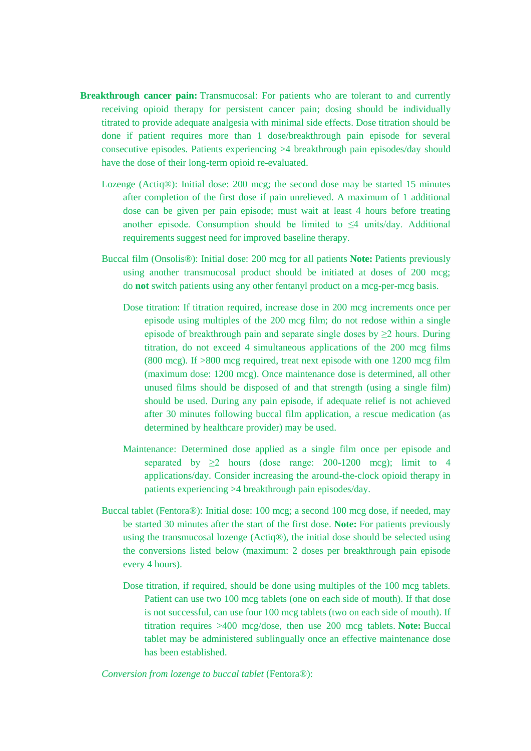- **Breakthrough cancer pain:** Transmucosal: For patients who are tolerant to and currently receiving opioid therapy for persistent cancer pain; dosing should be individually titrated to provide adequate analgesia with minimal side effects. Dose titration should be done if patient requires more than 1 dose/breakthrough pain episode for several consecutive episodes. Patients experiencing >4 breakthrough pain episodes/day should have the dose of their long-term opioid re-evaluated.
	- Lozenge (Actiq®): Initial dose: 200 mcg; the second dose may be started 15 minutes after completion of the first dose if pain unrelieved. A maximum of 1 additional dose can be given per pain episode; must wait at least 4 hours before treating another episode. Consumption should be limited to  $\leq 4$  units/day. Additional requirements suggest need for improved baseline therapy.
	- Buccal film (Onsolis®): Initial dose: 200 mcg for all patients **Note:** Patients previously using another transmucosal product should be initiated at doses of 200 mcg; do **not** switch patients using any other fentanyl product on a mcg-per-mcg basis.
		- Dose titration: If titration required, increase dose in 200 mcg increments once per episode using multiples of the 200 mcg film; do not redose within a single episode of breakthrough pain and separate single doses by  $\geq 2$  hours. During titration, do not exceed 4 simultaneous applications of the 200 mcg films (800 mcg). If >800 mcg required, treat next episode with one 1200 mcg film (maximum dose: 1200 mcg). Once maintenance dose is determined, all other unused films should be disposed of and that strength (using a single film) should be used. During any pain episode, if adequate relief is not achieved after 30 minutes following buccal film application, a rescue medication (as determined by healthcare provider) may be used.
		- Maintenance: Determined dose applied as a single film once per episode and separated by  $\geq 2$  hours (dose range: 200-1200 mcg); limit to 4 applications/day. Consider increasing the around-the-clock opioid therapy in patients experiencing >4 breakthrough pain episodes/day.
	- Buccal tablet (Fentora®): Initial dose: 100 mcg; a second 100 mcg dose, if needed, may be started 30 minutes after the start of the first dose. **Note:** For patients previously using the transmucosal lozenge (Actiq®), the initial dose should be selected using the conversions listed below (maximum: 2 doses per breakthrough pain episode every 4 hours).
		- Dose titration, if required, should be done using multiples of the 100 mcg tablets. Patient can use two 100 mcg tablets (one on each side of mouth). If that dose is not successful, can use four 100 mcg tablets (two on each side of mouth). If titration requires >400 mcg/dose, then use 200 mcg tablets. **Note:** Buccal tablet may be administered sublingually once an effective maintenance dose has been established.

*Conversion from lozenge to buccal tablet* (Fentora®):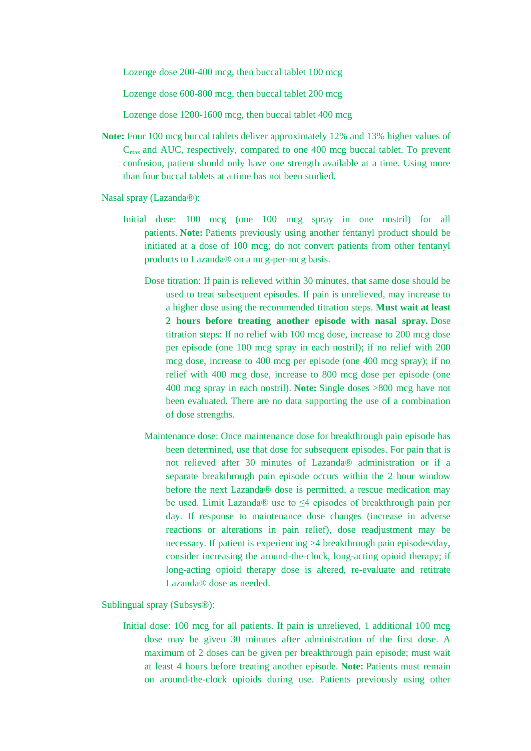Lozenge dose 200-400 mcg, then buccal tablet 100 mcg

Lozenge dose 600-800 mcg, then buccal tablet 200 mcg

Lozenge dose 1200-1600 mcg, then buccal tablet 400 mcg

**Note:** Four 100 mcg buccal tablets deliver approximately 12% and 13% higher values of Cmax and AUC, respectively, compared to one 400 mcg buccal tablet. To prevent confusion, patient should only have one strength available at a time. Using more than four buccal tablets at a time has not been studied.

Nasal spray (Lazanda®):

- Initial dose: 100 mcg (one 100 mcg spray in one nostril) for all patients. **Note:** Patients previously using another fentanyl product should be initiated at a dose of 100 mcg; do not convert patients from other fentanyl products to Lazanda® on a mcg-per-mcg basis.
	- Dose titration: If pain is relieved within 30 minutes, that same dose should be used to treat subsequent episodes. If pain is unrelieved, may increase to a higher dose using the recommended titration steps. **Must wait at least 2 hours before treating another episode with nasal spray.** Dose titration steps: If no relief with 100 mcg dose, increase to 200 mcg dose per episode (one 100 mcg spray in each nostril); if no relief with 200 mcg dose, increase to 400 mcg per episode (one 400 mcg spray); if no relief with 400 mcg dose, increase to 800 mcg dose per episode (one 400 mcg spray in each nostril). **Note:** Single doses >800 mcg have not been evaluated. There are no data supporting the use of a combination of dose strengths.
	- Maintenance dose: Once maintenance dose for breakthrough pain episode has been determined, use that dose for subsequent episodes. For pain that is not relieved after 30 minutes of Lazanda® administration or if a separate breakthrough pain episode occurs within the 2 hour window before the next Lazanda® dose is permitted, a rescue medication may be used. Limit Lazanda® use to ≤4 episodes of breakthrough pain per day. If response to maintenance dose changes (increase in adverse reactions or alterations in pain relief), dose readjustment may be necessary. If patient is experiencing >4 breakthrough pain episodes/day, consider increasing the around-the-clock, long-acting opioid therapy; if long-acting opioid therapy dose is altered, re-evaluate and retitrate Lazanda® dose as needed.

Sublingual spray (Subsys®):

Initial dose: 100 mcg for all patients. If pain is unrelieved, 1 additional 100 mcg dose may be given 30 minutes after administration of the first dose. A maximum of 2 doses can be given per breakthrough pain episode; must wait at least 4 hours before treating another episode. **Note:** Patients must remain on around-the-clock opioids during use. Patients previously using other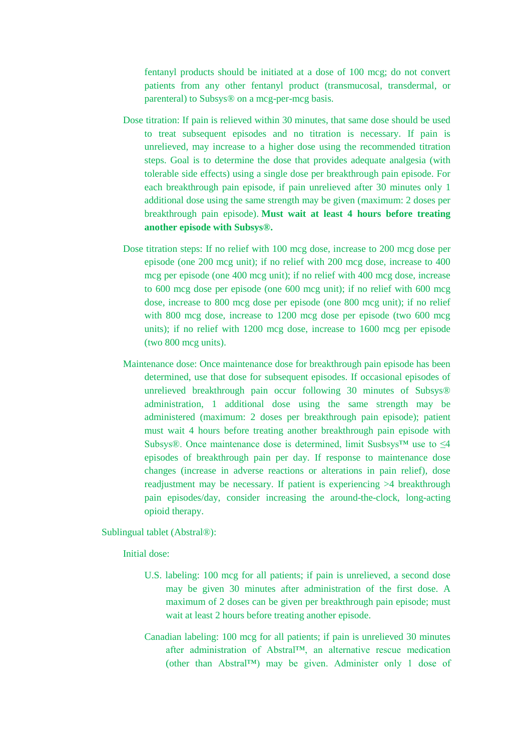fentanyl products should be initiated at a dose of 100 mcg; do not convert patients from any other fentanyl product (transmucosal, transdermal, or parenteral) to Subsys® on a mcg-per-mcg basis.

- Dose titration: If pain is relieved within 30 minutes, that same dose should be used to treat subsequent episodes and no titration is necessary. If pain is unrelieved, may increase to a higher dose using the recommended titration steps. Goal is to determine the dose that provides adequate analgesia (with tolerable side effects) using a single dose per breakthrough pain episode. For each breakthrough pain episode, if pain unrelieved after 30 minutes only 1 additional dose using the same strength may be given (maximum: 2 doses per breakthrough pain episode). **Must wait at least 4 hours before treating another episode with Subsys®.**
- Dose titration steps: If no relief with 100 mcg dose, increase to 200 mcg dose per episode (one 200 mcg unit); if no relief with 200 mcg dose, increase to 400 mcg per episode (one 400 mcg unit); if no relief with 400 mcg dose, increase to 600 mcg dose per episode (one 600 mcg unit); if no relief with 600 mcg dose, increase to 800 mcg dose per episode (one 800 mcg unit); if no relief with 800 mcg dose, increase to 1200 mcg dose per episode (two 600 mcg units); if no relief with 1200 mcg dose, increase to 1600 mcg per episode (two 800 mcg units).
- Maintenance dose: Once maintenance dose for breakthrough pain episode has been determined, use that dose for subsequent episodes. If occasional episodes of unrelieved breakthrough pain occur following 30 minutes of Subsys® administration, 1 additional dose using the same strength may be administered (maximum: 2 doses per breakthrough pain episode); patient must wait 4 hours before treating another breakthrough pain episode with Subsys®. Once maintenance dose is determined, limit Susbsys™ use to  $\leq 4$ episodes of breakthrough pain per day. If response to maintenance dose changes (increase in adverse reactions or alterations in pain relief), dose readjustment may be necessary. If patient is experiencing >4 breakthrough pain episodes/day, consider increasing the around-the-clock, long-acting opioid therapy.

Sublingual tablet (Abstral®):

Initial dose:

- U.S. labeling: 100 mcg for all patients; if pain is unrelieved, a second dose may be given 30 minutes after administration of the first dose. A maximum of 2 doses can be given per breakthrough pain episode; must wait at least 2 hours before treating another episode.
- Canadian labeling: 100 mcg for all patients; if pain is unrelieved 30 minutes after administration of Abstral™, an alternative rescue medication (other than Abstral™) may be given. Administer only 1 dose of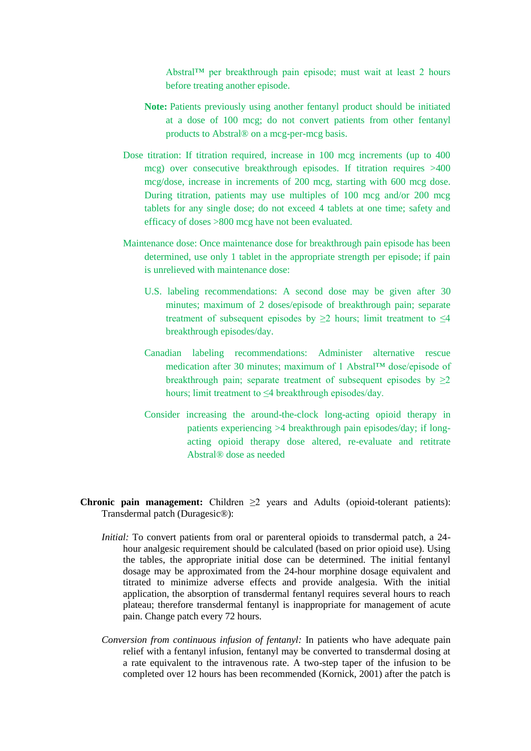Abstral™ per breakthrough pain episode; must wait at least 2 hours before treating another episode.

- **Note:** Patients previously using another fentanyl product should be initiated at a dose of 100 mcg; do not convert patients from other fentanyl products to Abstral® on a mcg-per-mcg basis.
- Dose titration: If titration required, increase in 100 mcg increments (up to 400 mcg) over consecutive breakthrough episodes. If titration requires >400 mcg/dose, increase in increments of 200 mcg, starting with 600 mcg dose. During titration, patients may use multiples of 100 mcg and/or 200 mcg tablets for any single dose; do not exceed 4 tablets at one time; safety and efficacy of doses >800 mcg have not been evaluated.
- Maintenance dose: Once maintenance dose for breakthrough pain episode has been determined, use only 1 tablet in the appropriate strength per episode; if pain is unrelieved with maintenance dose:
	- U.S. labeling recommendations: A second dose may be given after 30 minutes; maximum of 2 doses/episode of breakthrough pain; separate treatment of subsequent episodes by  $\geq 2$  hours; limit treatment to  $\leq 4$ breakthrough episodes/day.
	- Canadian labeling recommendations: Administer alternative rescue medication after 30 minutes; maximum of 1 Abstral™ dose/episode of breakthrough pain; separate treatment of subsequent episodes by  $\geq 2$ hours; limit treatment to ≤4 breakthrough episodes/day.
	- Consider increasing the around-the-clock long-acting opioid therapy in patients experiencing >4 breakthrough pain episodes/day; if longacting opioid therapy dose altered, re-evaluate and retitrate Abstral® dose as needed
- **Chronic pain management:** Children  $\geq 2$  years and Adults (opioid-tolerant patients): Transdermal patch (Duragesic®):
	- *Initial:* To convert patients from oral or parenteral opioids to transdermal patch, a 24hour analgesic requirement should be calculated (based on prior opioid use). Using the tables, the appropriate initial dose can be determined. The initial fentanyl dosage may be approximated from the 24-hour morphine dosage equivalent and titrated to minimize adverse effects and provide analgesia. With the initial application, the absorption of transdermal fentanyl requires several hours to reach plateau; therefore transdermal fentanyl is inappropriate for management of acute pain. Change patch every 72 hours.
	- *Conversion from continuous infusion of fentanyl:* In patients who have adequate pain relief with a fentanyl infusion, fentanyl may be converted to transdermal dosing at a rate equivalent to the intravenous rate. A two-step taper of the infusion to be completed over 12 hours has been recommended (Kornick, 2001) after the patch is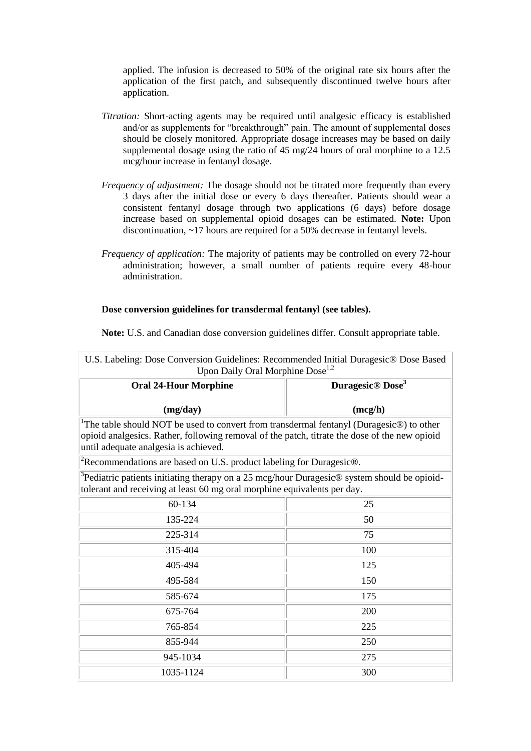applied. The infusion is decreased to 50% of the original rate six hours after the application of the first patch, and subsequently discontinued twelve hours after application.

- *Titration:* Short-acting agents may be required until analgesic efficacy is established and/or as supplements for "breakthrough" pain. The amount of supplemental doses should be closely monitored. Appropriate dosage increases may be based on daily supplemental dosage using the ratio of 45 mg/24 hours of oral morphine to a 12.5 mcg/hour increase in fentanyl dosage.
- *Frequency of adjustment:* The dosage should not be titrated more frequently than every 3 days after the initial dose or every 6 days thereafter. Patients should wear a consistent fentanyl dosage through two applications (6 days) before dosage increase based on supplemental opioid dosages can be estimated. **Note:** Upon discontinuation, ~17 hours are required for a 50% decrease in fentanyl levels.
- *Frequency of application:* The majority of patients may be controlled on every 72-hour administration; however, a small number of patients require every 48-hour administration.

#### **Dose conversion guidelines for transdermal fentanyl (see tables).**

**Note:** U.S. and Canadian dose conversion guidelines differ. Consult appropriate table.

| O.D. Labeling. Dose Conversion Galachines. Recommended initial Danageste® Dose Dasca<br>Upon Daily Oral Morphine Dose <sup>1,2</sup>                                                                                                                       |                                          |  |  |  |
|------------------------------------------------------------------------------------------------------------------------------------------------------------------------------------------------------------------------------------------------------------|------------------------------------------|--|--|--|
| <b>Oral 24-Hour Morphine</b>                                                                                                                                                                                                                               | Duragesic <sup>®</sup> Dose <sup>3</sup> |  |  |  |
| (mg/day)                                                                                                                                                                                                                                                   | (mcg/h)                                  |  |  |  |
| <sup>1</sup> The table should NOT be used to convert from transdermal fentanyl (Duragesic $\circledR$ ) to other<br>opioid analgesics. Rather, following removal of the patch, titrate the dose of the new opioid<br>until adequate analgesia is achieved. |                                          |  |  |  |
| <sup>2</sup> Recommendations are based on U.S. product labeling for Duragesic <sup>®</sup> .                                                                                                                                                               |                                          |  |  |  |
| ${}^{3}$ Pediatric patients initiating therapy on a 25 mcg/hour Duragesic® system should be opioid-<br>tolerant and receiving at least 60 mg oral morphine equivalents per day.                                                                            |                                          |  |  |  |
| 60-134                                                                                                                                                                                                                                                     | 25                                       |  |  |  |
| 135-224                                                                                                                                                                                                                                                    | 50                                       |  |  |  |
| 225-314                                                                                                                                                                                                                                                    | 75                                       |  |  |  |
| 315-404                                                                                                                                                                                                                                                    | 100                                      |  |  |  |
| 405-494                                                                                                                                                                                                                                                    | 125                                      |  |  |  |
| 495-584                                                                                                                                                                                                                                                    | 150                                      |  |  |  |
| 585-674                                                                                                                                                                                                                                                    | 175                                      |  |  |  |
| 675-764                                                                                                                                                                                                                                                    | 200                                      |  |  |  |
| 765-854                                                                                                                                                                                                                                                    | 225                                      |  |  |  |
| 855-944                                                                                                                                                                                                                                                    | 250                                      |  |  |  |
| 945-1034                                                                                                                                                                                                                                                   | 275                                      |  |  |  |
| 1035-1124                                                                                                                                                                                                                                                  | 300                                      |  |  |  |

U.S. Labeling: Dose Conversion Guidelines: Recommended Initial Duragesic® Dose Based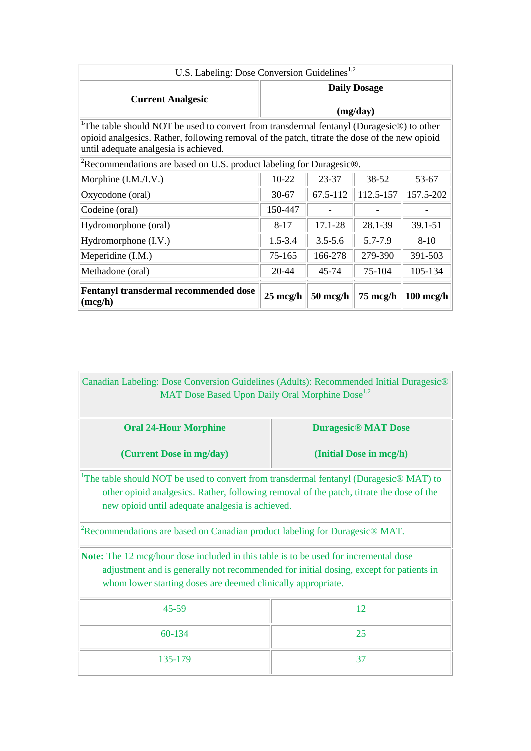| U.S. Labeling: Dose Conversion Guidelines <sup>1,2</sup>                                                                                                                                                                          |                                           |                    |          |                     |  |  |
|-----------------------------------------------------------------------------------------------------------------------------------------------------------------------------------------------------------------------------------|-------------------------------------------|--------------------|----------|---------------------|--|--|
|                                                                                                                                                                                                                                   | <b>Daily Dosage</b>                       |                    |          |                     |  |  |
| <b>Current Analgesic</b>                                                                                                                                                                                                          | (mg/day)                                  |                    |          |                     |  |  |
| The table should NOT be used to convert from transdermal fentanyl (Duragesic®) to other<br>opioid analgesics. Rather, following removal of the patch, titrate the dose of the new opioid<br>until adequate analgesia is achieved. |                                           |                    |          |                     |  |  |
| <sup>2</sup> Recommendations are based on U.S. product labeling for Duragesic <sup>®</sup> .                                                                                                                                      |                                           |                    |          |                     |  |  |
| Morphine (I.M./I.V.)                                                                                                                                                                                                              | $10 - 22$                                 | 53-67              |          |                     |  |  |
| Oxycodone (oral)                                                                                                                                                                                                                  | 112.5-157<br>67.5-112<br>$30 - 67$        |                    |          | 157.5-202           |  |  |
| Codeine (oral)                                                                                                                                                                                                                    | 150-447                                   |                    |          |                     |  |  |
| Hydromorphone (oral)                                                                                                                                                                                                              | 17.1-28<br>28.1-39<br>39.1-51<br>$8 - 17$ |                    |          |                     |  |  |
| Hydromorphone (I.V.)                                                                                                                                                                                                              | $1.5 - 3.4$<br>$3.5 - 5.6$                |                    | 5.7-7.9  | $8-10$              |  |  |
| Meperidine (I.M.)                                                                                                                                                                                                                 | 166-278<br>75-165                         |                    | 279-390  | 391-503             |  |  |
| Methadone (oral)                                                                                                                                                                                                                  | 20-44                                     | 105-134            |          |                     |  |  |
| <b>Fentanyl transdermal recommended dose</b><br>(mcg/h)                                                                                                                                                                           | $25 \text{ mcg/h}$                        | $50 \text{ mcg/h}$ | 75 mcg/h | $100 \text{ mcg/h}$ |  |  |

Canadian Labeling: Dose Conversion Guidelines (Adults): Recommended Initial Duragesic® MAT Dose Based Upon Daily Oral Morphine Dose<sup>1,2</sup>

| <b>Oral 24-Hour Morphine</b> | <b>Duragesic® MAT Dose</b> |
|------------------------------|----------------------------|
| (Current Dose in mg/day)     | (Initial Dose in mcg/h)    |

<sup>1</sup>The table should NOT be used to convert from transdermal fentanyl (Duragesic® MAT) to other opioid analgesics. Rather, following removal of the patch, titrate the dose of the new opioid until adequate analgesia is achieved.

<sup>2</sup>Recommendations are based on Canadian product labeling for Duragesic $\circledR$  MAT.

**Note:** The 12 mcg/hour dose included in this table is to be used for incremental dose adjustment and is generally not recommended for initial dosing, except for patients in whom lower starting doses are deemed clinically appropriate.

| $45 - 59$ | -12 |
|-----------|-----|
| 60-134    | 25  |
| 135-179   | 37  |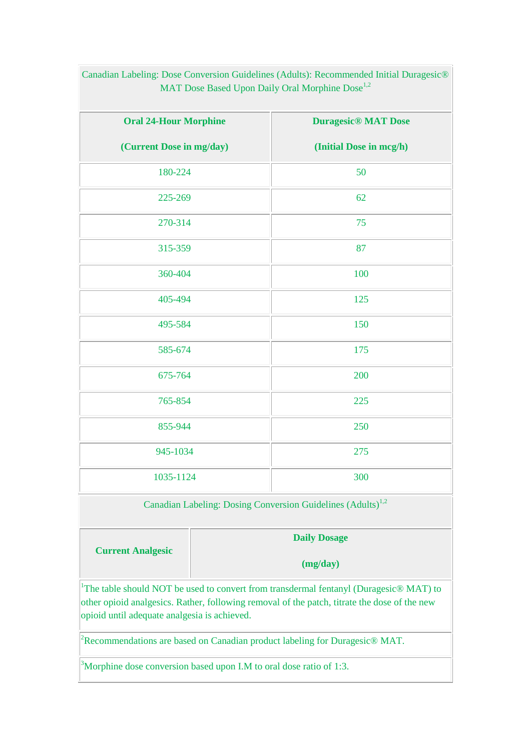| <b>Oral 24-Hour Morphine</b>                                            | <b>Duragesic<sup>®</sup></b> MAT Dose |  |  |
|-------------------------------------------------------------------------|---------------------------------------|--|--|
| (Current Dose in mg/day)                                                | (Initial Dose in mcg/h)               |  |  |
| 180-224                                                                 | 50                                    |  |  |
| 225-269                                                                 | 62                                    |  |  |
| 270-314                                                                 | 75                                    |  |  |
| 315-359                                                                 | 87                                    |  |  |
| 360-404                                                                 | 100                                   |  |  |
| 405-494                                                                 | 125                                   |  |  |
| 495-584                                                                 | 150                                   |  |  |
| 585-674                                                                 | 175                                   |  |  |
| 675-764                                                                 | 200                                   |  |  |
| 765-854                                                                 | 225                                   |  |  |
| 855-944                                                                 | 250                                   |  |  |
| 945-1034                                                                | 275                                   |  |  |
| 1035-1124                                                               | 300                                   |  |  |
| Canadian Labeling: Dosing Conversion Guidelines (Adults) <sup>1,2</sup> |                                       |  |  |

Canadian Labeling: Dose Conversion Guidelines (Adults): Recommended Initial Duragesic® MAT Dose Based Upon Daily Oral Morphine Dose<sup>1,2</sup>

|                          | <b>Daily Dosage</b> |
|--------------------------|---------------------|
| <b>Current Analgesic</b> | (mg/day)            |

<sup>1</sup>The table should NOT be used to convert from transdermal fentanyl (Duragesic® MAT) to other opioid analgesics. Rather, following removal of the patch, titrate the dose of the new opioid until adequate analgesia is achieved.

<sup>2</sup>Recommendations are based on Canadian product labeling for Duragesic<sup>®</sup> MAT.

<sup>3</sup>Morphine dose conversion based upon I.M to oral dose ratio of 1:3.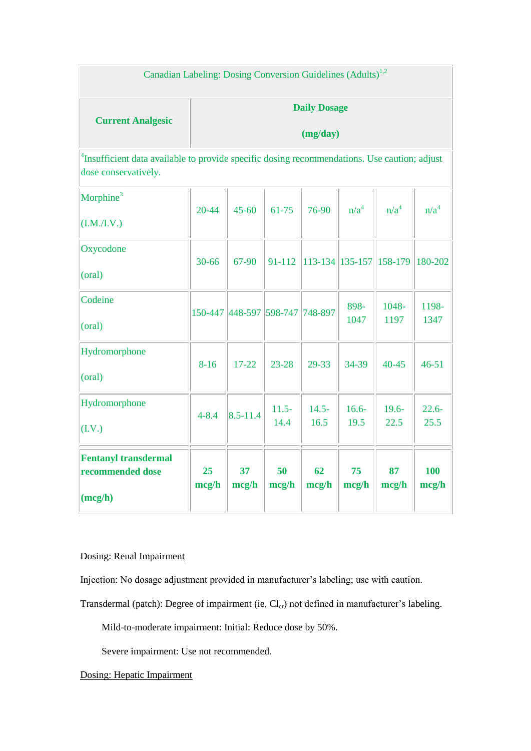# Canadian Labeling: Dosing Conversion Guidelines (Adults)<sup>1,2</sup>

# **Current Analgesic**

# **Daily Dosage**

**(mg/day)**

<sup>4</sup>Insufficient data available to provide specific dosing recommendations. Use caution; adjust dose conservatively.

| Morphine <sup>3</sup><br>(I.M./I.V.)                       | $20 - 44$   | $45 - 60$               | $61 - 75$        | 76-90                      | n/a <sup>4</sup> | n/a <sup>4</sup> | n/a <sup>4</sup>    |
|------------------------------------------------------------|-------------|-------------------------|------------------|----------------------------|------------------|------------------|---------------------|
| Oxycodone<br>(oral)                                        | 30-66       | 67-90                   | 91-112           | $ 113-134 135-157 158-179$ |                  |                  | 180-202             |
| Codeine<br>(oral)                                          |             | 150-447 448-597 598-747 |                  | 748-897                    | 898-<br>1047     | 1048-<br>1197    | 1198-<br>1347       |
| Hydromorphone<br>(oral)                                    | $8 - 16$    | $17 - 22$               | $23 - 28$        | 29-33                      | 34-39            | $40 - 45$        | $46 - 51$           |
| Hydromorphone<br>(I.V.)                                    | $4 - 8.4$   | $8.5 - 11.4$            | $11.5 -$<br>14.4 | $14.5 -$<br>16.5           | $16.6 -$<br>19.5 | $19.6 -$<br>22.5 | $22.6 -$<br>25.5    |
| <b>Fentanyl transdermal</b><br>recommended dose<br>(mcg/h) | 25<br>mcg/h | 37<br>mcg/h             | 50<br>mcg/h      | 62<br>mcg/h                | 75<br>mcg/h      | 87<br>mcg/h      | <b>100</b><br>mcg/h |

## Dosing: Renal Impairment

Injection: No dosage adjustment provided in manufacturer's labeling; use with caution.

Transdermal (patch): Degree of impairment (ie, Cl<sub>cr</sub>) not defined in manufacturer's labeling.

Mild-to-moderate impairment: Initial: Reduce dose by 50%.

Severe impairment: Use not recommended.

Dosing: Hepatic Impairment